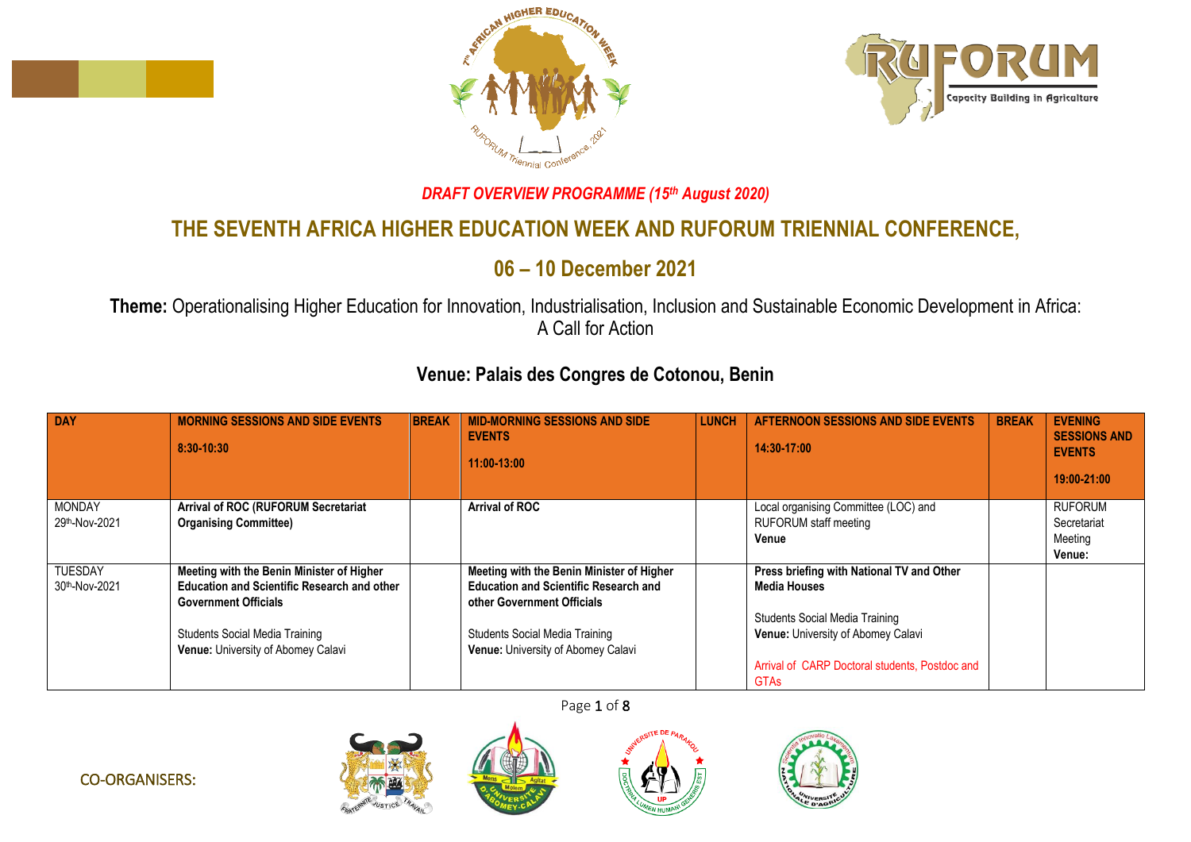





## *DRAFT OVERVIEW PROGRAMME (15th August 2020)*

## **THE SEVENTH AFRICA HIGHER EDUCATION WEEK AND RUFORUM TRIENNIAL CONFERENCE,**

## **06 – 10 December 2021**

**Theme:** Operationalising Higher Education for Innovation, Industrialisation, Inclusion and Sustainable Economic Development in Africa: A Call for Action

## **Venue: Palais des Congres de Cotonou, Benin**

| <b>DAY</b>                      | <b>MORNING SESSIONS AND SIDE EVENTS</b><br>8:30-10:30                                                                                                                                                         | <b>BREAK</b> | <b>MID-MORNING SESSIONS AND SIDE</b><br><b>EVENTS</b><br>11:00-13:00                                                                                                                                   | <b>LUNCH</b> | <b>AFTERNOON SESSIONS AND SIDE EVENTS</b><br>14:30-17:00                                                                                                                                                         | <b>BREAK</b> | <b>EVENING</b><br><b>SESSIONS AND</b><br><b>EVENTS</b><br>19:00-21:00 |
|---------------------------------|---------------------------------------------------------------------------------------------------------------------------------------------------------------------------------------------------------------|--------------|--------------------------------------------------------------------------------------------------------------------------------------------------------------------------------------------------------|--------------|------------------------------------------------------------------------------------------------------------------------------------------------------------------------------------------------------------------|--------------|-----------------------------------------------------------------------|
| <b>MONDAY</b><br>29th-Nov-2021  | Arrival of ROC (RUFORUM Secretariat<br><b>Organising Committee)</b>                                                                                                                                           |              | <b>Arrival of ROC</b>                                                                                                                                                                                  |              | Local organising Committee (LOC) and<br><b>RUFORUM</b> staff meeting<br>Venue                                                                                                                                    |              | <b>RUFORUM</b><br>Secretariat<br>Meeting<br>Venue:                    |
| <b>TUESDAY</b><br>30th-Nov-2021 | Meeting with the Benin Minister of Higher<br><b>Education and Scientific Research and other</b><br><b>Government Officials</b><br><b>Students Social Media Training</b><br>Venue: University of Abomey Calavi |              | Meeting with the Benin Minister of Higher<br><b>Education and Scientific Research and</b><br>other Government Officials<br><b>Students Social Media Training</b><br>Venue: University of Abomey Calavi |              | Press briefing with National TV and Other<br><b>Media Houses</b><br><b>Students Social Media Training</b><br>Venue: University of Abomey Calavi<br>Arrival of CARP Doctoral students, Postdoc and<br><b>GTAs</b> |              |                                                                       |







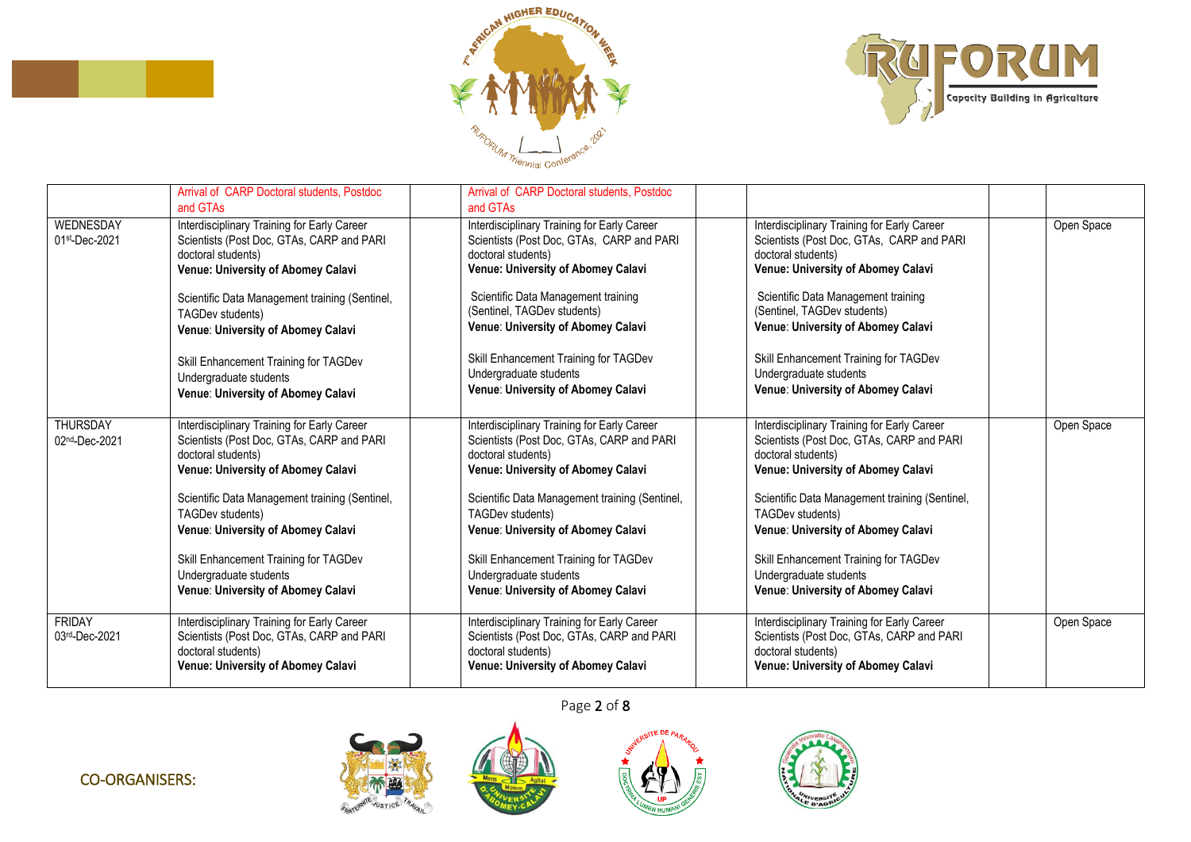



|                                | Arrival of CARP Doctoral students, Postdoc<br>and GTAs                                                                                               | Arrival of CARP Doctoral students, Postdoc<br>and GTAs                                                                                               |                                                                                                                                                      |            |
|--------------------------------|------------------------------------------------------------------------------------------------------------------------------------------------------|------------------------------------------------------------------------------------------------------------------------------------------------------|------------------------------------------------------------------------------------------------------------------------------------------------------|------------|
| WEDNESDAY<br>01st-Dec-2021     | Interdisciplinary Training for Early Career<br>Scientists (Post Doc, GTAs, CARP and PARI<br>doctoral students)<br>Venue: University of Abomey Calavi | Interdisciplinary Training for Early Career<br>Scientists (Post Doc, GTAs, CARP and PARI<br>doctoral students)<br>Venue: University of Abomey Calavi | Interdisciplinary Training for Early Career<br>Scientists (Post Doc, GTAs, CARP and PARI<br>doctoral students)<br>Venue: University of Abomey Calavi | Open Space |
|                                | Scientific Data Management training (Sentinel,<br>TAGDev students)<br>Venue: University of Abomey Calavi                                             | Scientific Data Management training<br>(Sentinel, TAGDev students)<br>Venue: University of Abomey Calavi                                             | Scientific Data Management training<br>(Sentinel, TAGDev students)<br>Venue: University of Abomey Calavi                                             |            |
|                                | Skill Enhancement Training for TAGDev<br>Undergraduate students<br>Venue: University of Abomey Calavi                                                | Skill Enhancement Training for TAGDev<br>Undergraduate students<br>Venue: University of Abomey Calavi                                                | Skill Enhancement Training for TAGDev<br>Undergraduate students<br>Venue: University of Abomey Calavi                                                |            |
| THURSDAY<br>02nd-Dec-2021      | Interdisciplinary Training for Early Career<br>Scientists (Post Doc, GTAs, CARP and PARI<br>doctoral students)<br>Venue: University of Abomey Calavi | Interdisciplinary Training for Early Career<br>Scientists (Post Doc, GTAs, CARP and PARI<br>doctoral students)<br>Venue: University of Abomey Calavi | Interdisciplinary Training for Early Career<br>Scientists (Post Doc, GTAs, CARP and PARI<br>doctoral students)<br>Venue: University of Abomey Calavi | Open Space |
|                                | Scientific Data Management training (Sentinel,<br>TAGDev students)<br>Venue: University of Abomey Calavi                                             | Scientific Data Management training (Sentinel,<br>TAGDev students)<br>Venue: University of Abomey Calavi                                             | Scientific Data Management training (Sentinel,<br>TAGDev students)<br>Venue: University of Abomey Calavi                                             |            |
|                                | Skill Enhancement Training for TAGDev<br>Undergraduate students<br>Venue: University of Abomey Calavi                                                | Skill Enhancement Training for TAGDev<br>Undergraduate students<br>Venue: University of Abomey Calavi                                                | Skill Enhancement Training for TAGDev<br>Undergraduate students<br>Venue: University of Abomey Calavi                                                |            |
| <b>FRIDAY</b><br>03rd-Dec-2021 | Interdisciplinary Training for Early Career<br>Scientists (Post Doc, GTAs, CARP and PARI<br>doctoral students)<br>Venue: University of Abomey Calavi | Interdisciplinary Training for Early Career<br>Scientists (Post Doc, GTAs, CARP and PARI<br>doctoral students)<br>Venue: University of Abomey Calavi | Interdisciplinary Training for Early Career<br>Scientists (Post Doc, GTAs, CARP and PARI<br>doctoral students)<br>Venue: University of Abomey Calavi | Open Space |



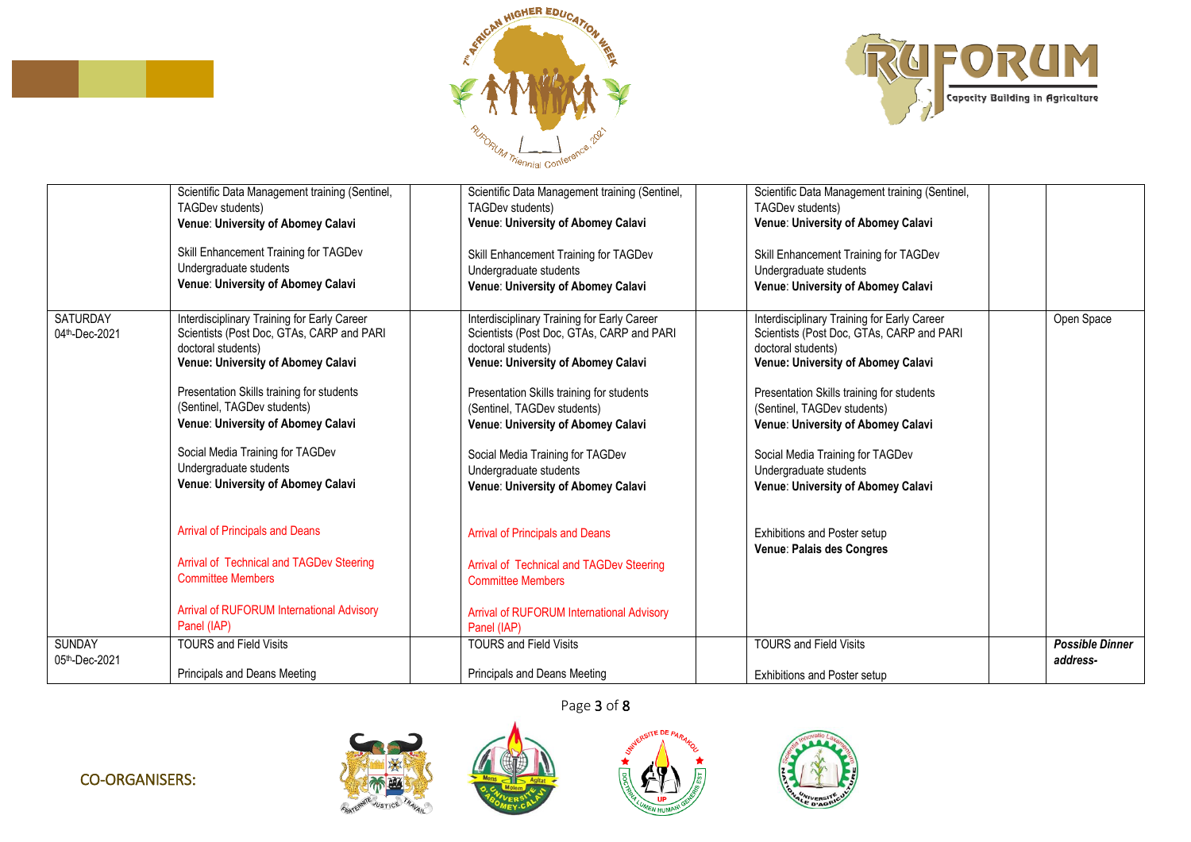



|                                  | Scientific Data Management training (Sentinel,<br>TAGDev students)<br>Venue: University of Abomey Calavi<br>Skill Enhancement Training for TAGDev<br>Undergraduate students<br>Venue: University of Abomey Calavi                                                                                                                                                                                                                                                                                                                                               | Scientific Data Management training (Sentinel,<br>TAGDev students)<br>Venue: University of Abomey Calavi<br>Skill Enhancement Training for TAGDev<br>Undergraduate students<br>Venue: University of Abomey Calavi                                                                                                                                                                                                                                                                                                                                               | Scientific Data Management training (Sentinel,<br>TAGDev students)<br>Venue: University of Abomey Calavi<br>Skill Enhancement Training for TAGDev<br>Undergraduate students<br>Venue: University of Abomey Calavi                                                                                                                                                                                                                       |                                    |
|----------------------------------|-----------------------------------------------------------------------------------------------------------------------------------------------------------------------------------------------------------------------------------------------------------------------------------------------------------------------------------------------------------------------------------------------------------------------------------------------------------------------------------------------------------------------------------------------------------------|-----------------------------------------------------------------------------------------------------------------------------------------------------------------------------------------------------------------------------------------------------------------------------------------------------------------------------------------------------------------------------------------------------------------------------------------------------------------------------------------------------------------------------------------------------------------|-----------------------------------------------------------------------------------------------------------------------------------------------------------------------------------------------------------------------------------------------------------------------------------------------------------------------------------------------------------------------------------------------------------------------------------------|------------------------------------|
| <b>SATURDAY</b><br>04th-Dec-2021 | Interdisciplinary Training for Early Career<br>Scientists (Post Doc, GTAs, CARP and PARI<br>doctoral students)<br>Venue: University of Abomey Calavi<br>Presentation Skills training for students<br>(Sentinel, TAGDev students)<br>Venue: University of Abomey Calavi<br>Social Media Training for TAGDev<br>Undergraduate students<br>Venue: University of Abomey Calavi<br><b>Arrival of Principals and Deans</b><br>Arrival of Technical and TAGDev Steering<br><b>Committee Members</b><br><b>Arrival of RUFORUM International Advisory</b><br>Panel (IAP) | Interdisciplinary Training for Early Career<br>Scientists (Post Doc, GTAs, CARP and PARI<br>doctoral students)<br>Venue: University of Abomey Calavi<br>Presentation Skills training for students<br>(Sentinel, TAGDev students)<br>Venue: University of Abomey Calavi<br>Social Media Training for TAGDev<br>Undergraduate students<br>Venue: University of Abomey Calavi<br><b>Arrival of Principals and Deans</b><br>Arrival of Technical and TAGDev Steering<br><b>Committee Members</b><br><b>Arrival of RUFORUM International Advisory</b><br>Panel (IAP) | Interdisciplinary Training for Early Career<br>Scientists (Post Doc, GTAs, CARP and PARI<br>doctoral students)<br>Venue: University of Abomey Calavi<br>Presentation Skills training for students<br>(Sentinel, TAGDev students)<br>Venue: University of Abomey Calavi<br>Social Media Training for TAGDev<br>Undergraduate students<br>Venue: University of Abomey Calavi<br>Exhibitions and Poster setup<br>Venue: Palais des Congres | Open Space                         |
| <b>SUNDAY</b><br>05th-Dec-2021   | <b>TOURS and Field Visits</b><br>Principals and Deans Meeting                                                                                                                                                                                                                                                                                                                                                                                                                                                                                                   | <b>TOURS and Field Visits</b><br>Principals and Deans Meeting                                                                                                                                                                                                                                                                                                                                                                                                                                                                                                   | <b>TOURS and Field Visits</b><br>Exhibitions and Poster setup                                                                                                                                                                                                                                                                                                                                                                           | <b>Possible Dinner</b><br>address- |



 $ATEDE$ 





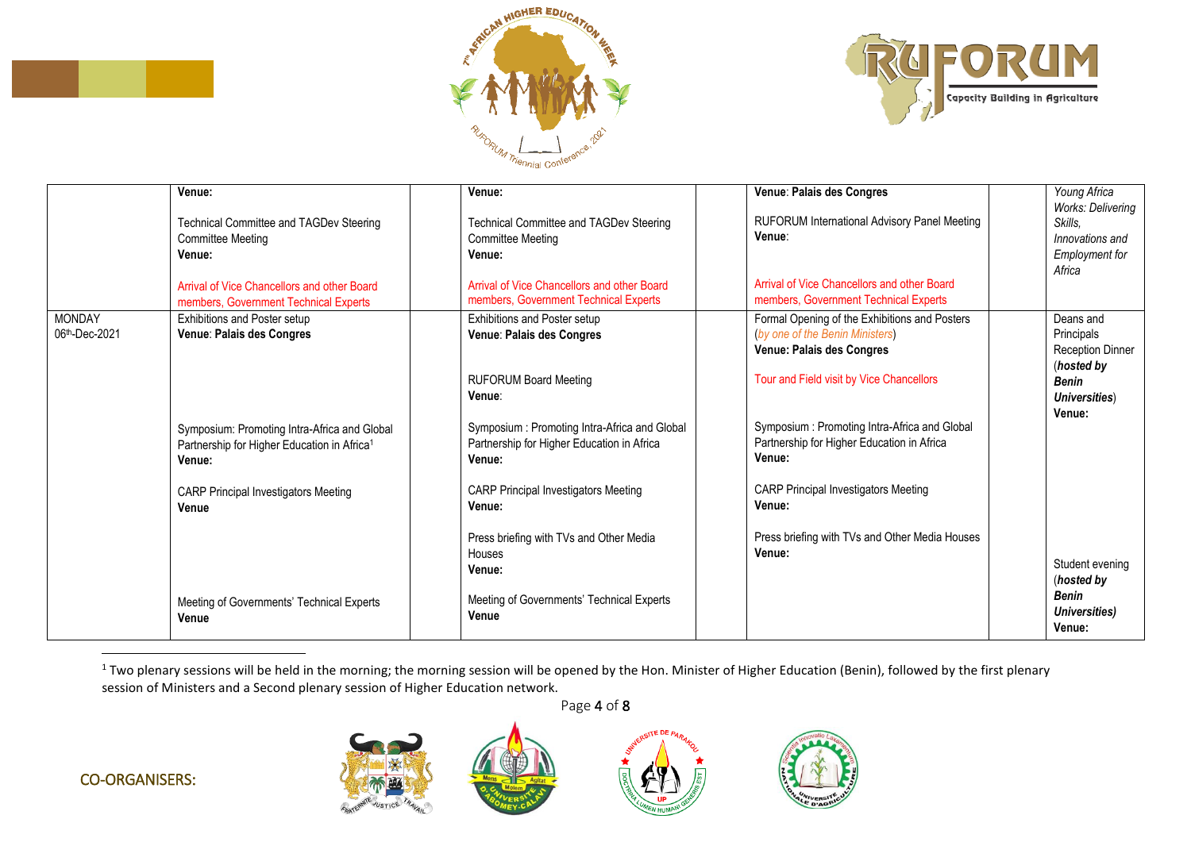



|                                | Venue:<br><b>Technical Committee and TAGDev Steering</b><br><b>Committee Meeting</b><br>Venue:<br>Arrival of Vice Chancellors and other Board<br>members, Government Technical Experts | Venue:<br>Technical Committee and TAGDev Steering<br><b>Committee Meeting</b><br>Venue:<br>Arrival of Vice Chancellors and other Board<br>members, Government Technical Experts | Venue: Palais des Congres<br>RUFORUM International Advisory Panel Meeting<br>Venue:<br>Arrival of Vice Chancellors and other Board<br>members, Government Technical Experts                               | Young Africa<br><b>Works: Delivering</b><br>Skills.<br>Innovations and<br><b>Employment for</b><br>Africa   |
|--------------------------------|----------------------------------------------------------------------------------------------------------------------------------------------------------------------------------------|---------------------------------------------------------------------------------------------------------------------------------------------------------------------------------|-----------------------------------------------------------------------------------------------------------------------------------------------------------------------------------------------------------|-------------------------------------------------------------------------------------------------------------|
| <b>MONDAY</b><br>06th-Dec-2021 | Exhibitions and Poster setup<br>Venue: Palais des Congres<br>Symposium: Promoting Intra-Africa and Global                                                                              | Exhibitions and Poster setup<br>Venue: Palais des Congres<br><b>RUFORUM Board Meeting</b><br>Venue:<br>Symposium: Promoting Intra-Africa and Global                             | Formal Opening of the Exhibitions and Posters<br>(by one of the Benin Ministers)<br>Venue: Palais des Congres<br>Tour and Field visit by Vice Chancellors<br>Symposium: Promoting Intra-Africa and Global | Deans and<br>Principals<br><b>Reception Dinner</b><br>(hosted by<br><b>Benin</b><br>Universities)<br>Venue: |
|                                | Partnership for Higher Education in Africa <sup>1</sup><br>Venue:<br><b>CARP Principal Investigators Meeting</b><br>Venue                                                              | Partnership for Higher Education in Africa<br>Venue:<br><b>CARP Principal Investigators Meeting</b><br>Venue:<br>Press briefing with TVs and Other Media<br>Houses              | Partnership for Higher Education in Africa<br>Venue:<br><b>CARP Principal Investigators Meeting</b><br>Venue:<br>Press briefing with TVs and Other Media Houses<br>Venue:                                 |                                                                                                             |
|                                | Meeting of Governments' Technical Experts<br>Venue                                                                                                                                     | Venue:<br>Meeting of Governments' Technical Experts<br>Venue                                                                                                                    |                                                                                                                                                                                                           | Student evening<br>(hosted by<br>Benin<br>Universities)<br>Venue:                                           |

<sup>1</sup> Two plenary sessions will be held in the morning; the morning session will be opened by the Hon. Minister of Higher Education (Benin), followed by the first plenary session of Ministers and a Second plenary session of Higher Education network.





CO-ORGANISERS:

 $\overline{a}$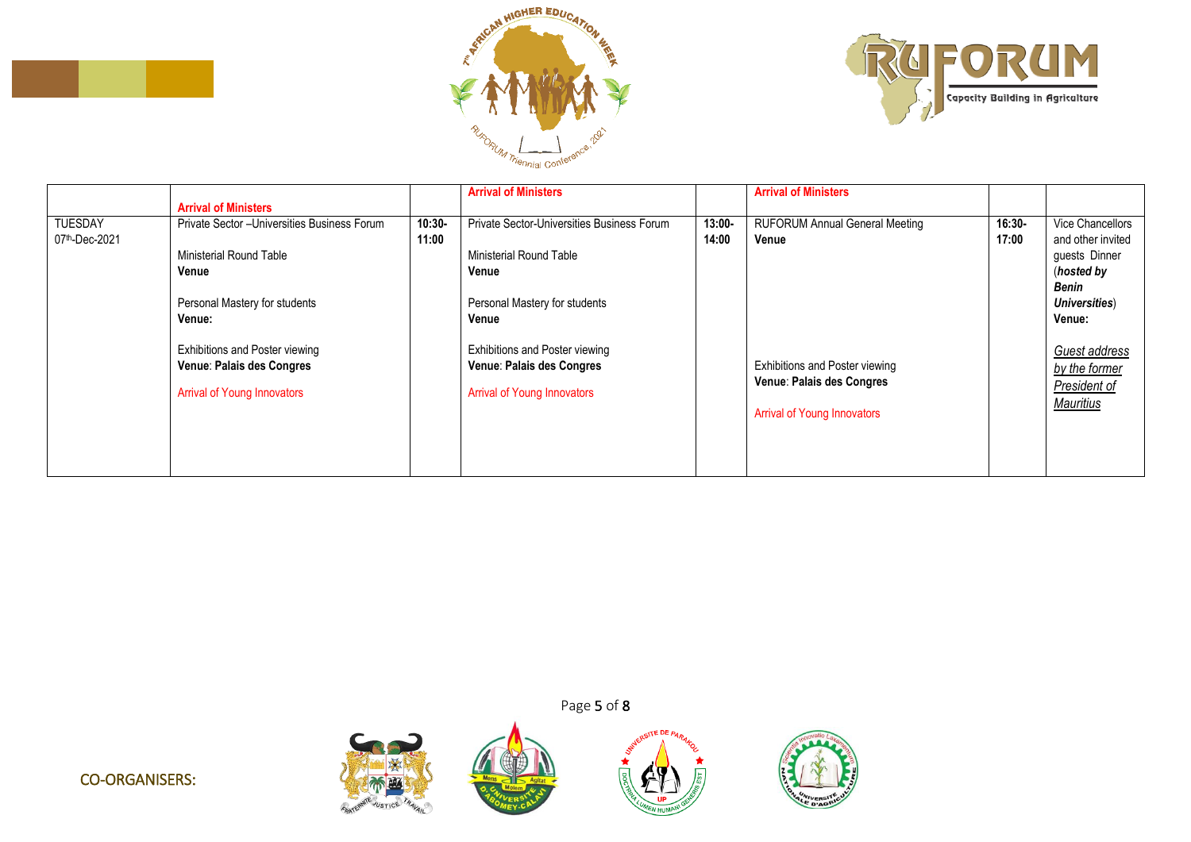



|                                 |                                                                                                                                              |                   | <b>Arrival of Ministers</b>                                                                                                                        |                    | <b>Arrival of Ministers</b>                                                                              |                    |                                                                                                      |
|---------------------------------|----------------------------------------------------------------------------------------------------------------------------------------------|-------------------|----------------------------------------------------------------------------------------------------------------------------------------------------|--------------------|----------------------------------------------------------------------------------------------------------|--------------------|------------------------------------------------------------------------------------------------------|
| <b>TUESDAY</b><br>07th-Dec-2021 | <b>Arrival of Ministers</b><br>Private Sector - Universities Business Forum<br><b>Ministerial Round Table</b><br>Venue                       | $10:30-$<br>11:00 | Private Sector-Universities Business Forum<br>Ministerial Round Table<br>Venue                                                                     | $13:00 -$<br>14:00 | <b>RUFORUM Annual General Meeting</b><br>Venue                                                           | $16:30 -$<br>17:00 | Vice Chancellors<br>and other invited<br>guests Dinner<br>(hosted by<br>Benin                        |
|                                 | Personal Mastery for students<br>Venue:<br>Exhibitions and Poster viewing<br>Venue: Palais des Congres<br><b>Arrival of Young Innovators</b> |                   | Personal Mastery for students<br>Venue<br><b>Exhibitions and Poster viewing</b><br>Venue: Palais des Congres<br><b>Arrival of Young Innovators</b> |                    | <b>Exhibitions and Poster viewing</b><br>Venue: Palais des Congres<br><b>Arrival of Young Innovators</b> |                    | Universities)<br><b>Venue:</b><br>Guest address<br>by the former<br>President of<br><b>Mauritius</b> |
|                                 |                                                                                                                                              |                   |                                                                                                                                                    |                    |                                                                                                          |                    |                                                                                                      |

Page 5 of 8

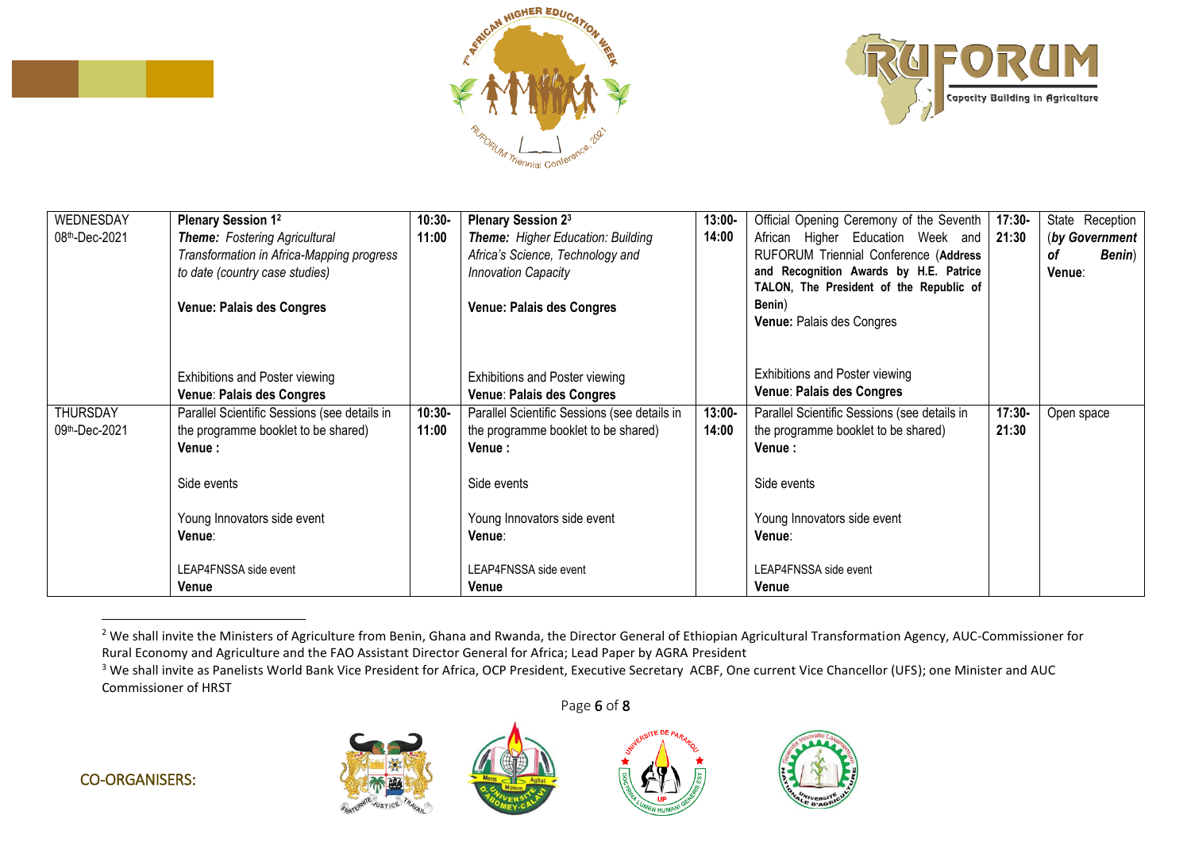





| WEDNESDAY       | <b>Plenary Session 12</b>                    | $10:30-$ | Plenary Session 23                           | $13:00 -$ | Official Opening Ceremony of the Seventh     | $17:30-$ | State Reception      |
|-----------------|----------------------------------------------|----------|----------------------------------------------|-----------|----------------------------------------------|----------|----------------------|
| 08th-Dec-2021   | Theme: Fostering Agricultural                | 11:00    | <b>Theme:</b> Higher Education: Building     | 14:00     | African Higher Education Week and            | 21:30    | (by Government       |
|                 | Transformation in Africa-Mapping progress    |          | Africa's Science, Technology and             |           | RUFORUM Triennial Conference (Address        |          | οf<br><b>Benin</b> ) |
|                 | to date (country case studies)               |          | <b>Innovation Capacity</b>                   |           | and Recognition Awards by H.E. Patrice       |          | Venue:               |
|                 |                                              |          |                                              |           | TALON, The President of the Republic of      |          |                      |
|                 | <b>Venue: Palais des Congres</b>             |          | <b>Venue: Palais des Congres</b>             |           | Benin)                                       |          |                      |
|                 |                                              |          |                                              |           | Venue: Palais des Congres                    |          |                      |
|                 |                                              |          |                                              |           |                                              |          |                      |
|                 |                                              |          |                                              |           |                                              |          |                      |
|                 | Exhibitions and Poster viewing               |          | Exhibitions and Poster viewing               |           | <b>Exhibitions and Poster viewing</b>        |          |                      |
|                 | Venue: Palais des Congres                    |          | Venue: Palais des Congres                    |           | Venue: Palais des Congres                    |          |                      |
| <b>THURSDAY</b> | Parallel Scientific Sessions (see details in | $10:30-$ | Parallel Scientific Sessions (see details in | $13:00 -$ | Parallel Scientific Sessions (see details in | $17:30-$ | Open space           |
| 09th-Dec-2021   | the programme booklet to be shared)          | 11:00    | the programme booklet to be shared)          | 14:00     | the programme booklet to be shared)          | 21:30    |                      |
|                 | Venue :                                      |          | <b>Venue :</b>                               |           | Venue:                                       |          |                      |
|                 |                                              |          |                                              |           |                                              |          |                      |
|                 | Side events                                  |          | Side events                                  |           | Side events                                  |          |                      |
|                 |                                              |          |                                              |           |                                              |          |                      |
|                 | Young Innovators side event                  |          | Young Innovators side event                  |           | Young Innovators side event                  |          |                      |
|                 | Venue∶                                       |          | Venue∶                                       |           | Venue:                                       |          |                      |
|                 |                                              |          |                                              |           |                                              |          |                      |
|                 | LEAP4FNSSA side event                        |          | LEAP4FNSSA side event                        |           | LEAP4FNSSA side event                        |          |                      |
|                 | Venue                                        |          | Venue                                        |           | Venue                                        |          |                      |

<sup>&</sup>lt;sup>2</sup> We shall invite the Ministers of Agriculture from Benin, Ghana and Rwanda, the Director General of Ethiopian Agricultural Transformation Agency, AUC-Commissioner for Rural Economy and Agriculture and the FAO Assistant Director General for Africa; Lead Paper by AGRA President

<sup>&</sup>lt;sup>3</sup> We shall invite as Panelists World Bank Vice President for Africa, OCP President, Executive Secretary ACBF, One current Vice Chancellor (UFS); one Minister and AUC Commissioner of HRST





 $\overline{a}$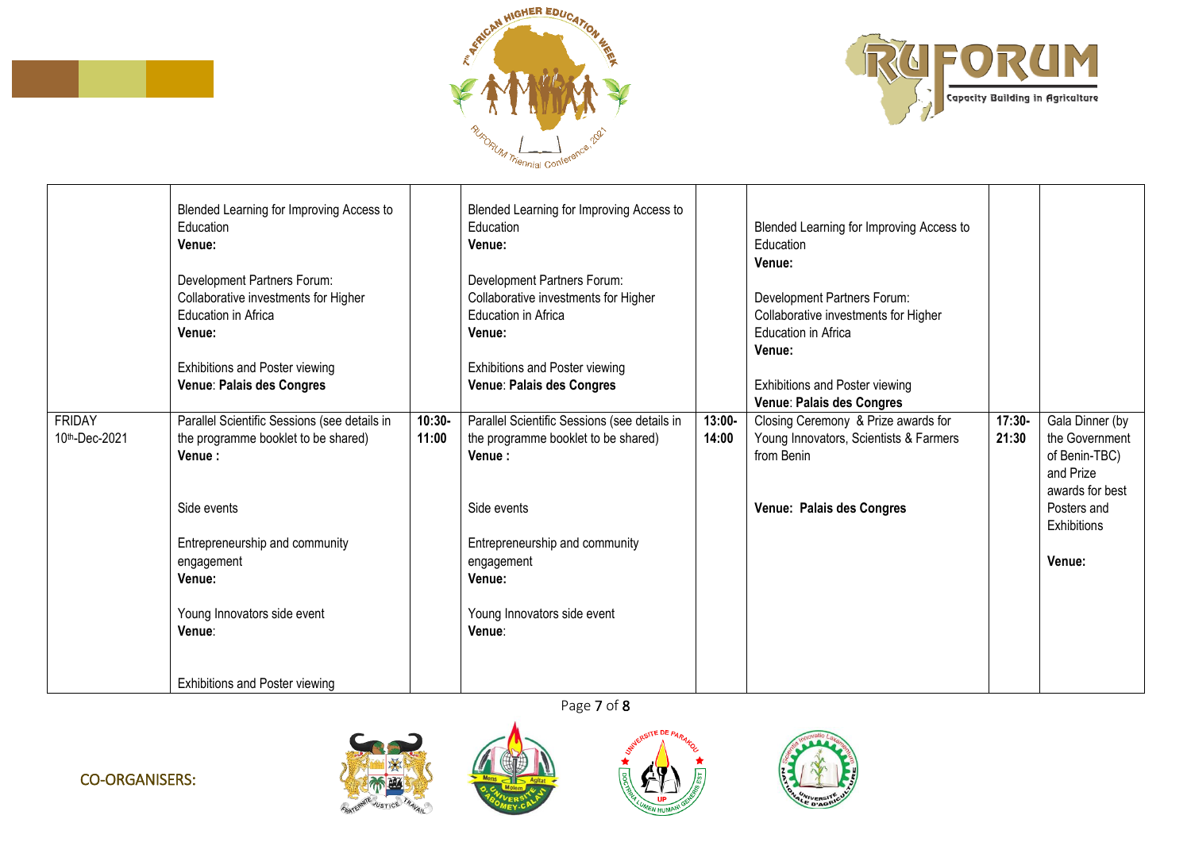



|                                | Blended Learning for Improving Access to<br>Education<br>Venue:<br>Development Partners Forum:<br>Collaborative investments for Higher<br>Education in Africa<br>Venue:<br>Exhibitions and Poster viewing<br>Venue: Palais des Congres |                    | Blended Learning for Improving Access to<br>Education<br>Venue:<br>Development Partners Forum:<br>Collaborative investments for Higher<br>Education in Africa<br>Venue:<br>Exhibitions and Poster viewing<br>Venue: Palais des Congres |                    | Blended Learning for Improving Access to<br>Education<br>Venue:<br>Development Partners Forum:<br>Collaborative investments for Higher<br>Education in Africa<br>Venue:<br><b>Exhibitions and Poster viewing</b><br>Venue: Palais des Congres |                   |                                   |
|--------------------------------|----------------------------------------------------------------------------------------------------------------------------------------------------------------------------------------------------------------------------------------|--------------------|----------------------------------------------------------------------------------------------------------------------------------------------------------------------------------------------------------------------------------------|--------------------|-----------------------------------------------------------------------------------------------------------------------------------------------------------------------------------------------------------------------------------------------|-------------------|-----------------------------------|
| <b>FRIDAY</b><br>10th-Dec-2021 | Parallel Scientific Sessions (see details in<br>the programme booklet to be shared)                                                                                                                                                    | $10:30 -$<br>11:00 | Parallel Scientific Sessions (see details in<br>the programme booklet to be shared)                                                                                                                                                    | $13:00 -$<br>14:00 | Closing Ceremony & Prize awards for<br>Young Innovators, Scientists & Farmers                                                                                                                                                                 | $17:30-$<br>21:30 | Gala Dinner (by<br>the Government |
|                                | Venue:                                                                                                                                                                                                                                 |                    | Venue:                                                                                                                                                                                                                                 |                    | from Benin                                                                                                                                                                                                                                    |                   | of Benin-TBC)<br>and Prize        |
|                                |                                                                                                                                                                                                                                        |                    |                                                                                                                                                                                                                                        |                    |                                                                                                                                                                                                                                               |                   | awards for best                   |
|                                | Side events                                                                                                                                                                                                                            |                    | Side events                                                                                                                                                                                                                            |                    | Venue: Palais des Congres                                                                                                                                                                                                                     |                   | Posters and<br><b>Exhibitions</b> |
|                                | Entrepreneurship and community                                                                                                                                                                                                         |                    | Entrepreneurship and community                                                                                                                                                                                                         |                    |                                                                                                                                                                                                                                               |                   |                                   |
|                                | engagement<br>Venue:                                                                                                                                                                                                                   |                    | engagement<br>Venue:                                                                                                                                                                                                                   |                    |                                                                                                                                                                                                                                               |                   | Venue:                            |
|                                |                                                                                                                                                                                                                                        |                    |                                                                                                                                                                                                                                        |                    |                                                                                                                                                                                                                                               |                   |                                   |
|                                | Young Innovators side event<br>Venue:                                                                                                                                                                                                  |                    | Young Innovators side event<br>Venue:                                                                                                                                                                                                  |                    |                                                                                                                                                                                                                                               |                   |                                   |
|                                |                                                                                                                                                                                                                                        |                    |                                                                                                                                                                                                                                        |                    |                                                                                                                                                                                                                                               |                   |                                   |
|                                | Exhibitions and Poster viewing                                                                                                                                                                                                         |                    |                                                                                                                                                                                                                                        |                    |                                                                                                                                                                                                                                               |                   |                                   |

Page 7 of 8